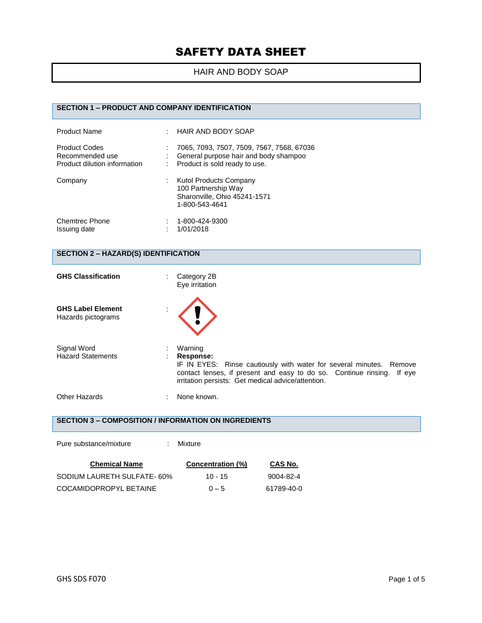## HAIR AND BODY SOAP

# **SECTION 1 – PRODUCT AND COMPANY IDENTIFICATION**

| <b>Product Name</b>                                                     | $\pm$ HAIR AND BODY SOAP                                                                                            |
|-------------------------------------------------------------------------|---------------------------------------------------------------------------------------------------------------------|
| <b>Product Codes</b><br>Recommended use<br>Product dilution information | 7065, 7093, 7507, 7509, 7567, 7568, 67036<br>General purpose hair and body shampoo<br>Product is sold ready to use. |
| Company                                                                 | Kutol Products Company<br>100 Partnership Way<br>Sharonville, Ohio 45241-1571<br>1-800-543-4641                     |
| <b>Chemtrec Phone</b><br>Issuing date                                   | 1-800-424-9300<br>1/01/2018                                                                                         |

## **SECTION 2 – HAZARD(S) IDENTIFICATION**

Pure substance/mixture : Mixture

| <b>GHS Classification</b>                      | Category 2B<br>Eye irritation                                                                                                                                                                                                  |
|------------------------------------------------|--------------------------------------------------------------------------------------------------------------------------------------------------------------------------------------------------------------------------------|
| <b>GHS Label Element</b><br>Hazards pictograms |                                                                                                                                                                                                                                |
| Signal Word<br><b>Hazard Statements</b>        | Warning<br>Response:<br>IF IN EYES: Rinse cautiously with water for several minutes. Remove<br>contact lenses, if present and easy to do so. Continue rinsing.<br>If eve<br>irritation persists: Get medical advice/attention. |
| Other Hazards                                  | None known.                                                                                                                                                                                                                    |

# **SECTION 3 – COMPOSITION / INFORMATION ON INGREDIENTS**

| <b>Chemical Name</b>       | Concentration (%) | CAS No.    |
|----------------------------|-------------------|------------|
| SODIUM LAURETH SULFATE-60% | $10 - 15$         | 9004-82-4  |
| COCAMIDOPROPYL BETAINE     | $0 - 5$           | 61789-40-0 |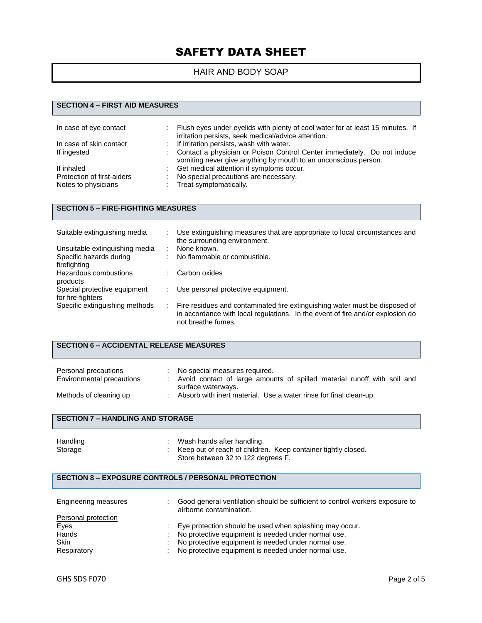# HAIR AND BODY SOAP

# **SECTION 4 – FIRST AID MEASURES**

| In case of eye contact     | Flush eyes under eyelids with plenty of cool water for at least 15 minutes. If<br>irritation persists, seek medical/advice attention.      |
|----------------------------|--------------------------------------------------------------------------------------------------------------------------------------------|
| In case of skin contact    | : If irritation persists, wash with water.                                                                                                 |
| If ingested                | Contact a physician or Poison Control Center immediately. Do not induce<br>vomiting never give anything by mouth to an unconscious person. |
| If inhaled                 | Get medical attention if symptoms occur.                                                                                                   |
| Protection of first-aiders | No special precautions are necessary.                                                                                                      |
| Notes to physicians        | Treat symptomatically.                                                                                                                     |

# **SECTION 5 – FIRE-FIGHTING MEASURES**

| Suitable extinguishing media                      | Use extinguishing measures that are appropriate to local circumstances and<br>the surrounding environment.                                                                          |
|---------------------------------------------------|-------------------------------------------------------------------------------------------------------------------------------------------------------------------------------------|
| Unsuitable extinguishing media                    | None known.                                                                                                                                                                         |
| Specific hazards during                           | No flammable or combustible.                                                                                                                                                        |
| firefighting                                      |                                                                                                                                                                                     |
| Hazardous combustions<br>products                 | Carbon oxides                                                                                                                                                                       |
| Special protective equipment<br>for fire-fighters | Use personal protective equipment.                                                                                                                                                  |
| Specific extinguishing methods                    | Fire residues and contaminated fire extinguishing water must be disposed of<br>in accordance with local regulations. In the event of fire and/or explosion do<br>not breathe fumes. |

#### **SECTION 6 – ACCIDENTAL RELEASE MEASURES**

| Personal precautions<br>Environmental precautions | No special measures required.<br>Avoid contact of large amounts of spilled material runoff with soil and |
|---------------------------------------------------|----------------------------------------------------------------------------------------------------------|
|                                                   | surface waterways.                                                                                       |
| Methods of cleaning up                            | Absorb with inert material. Use a water rinse for final clean-up.                                        |

### **SECTION 7 – HANDLING AND STORAGE**

| Handling | Wash hands after handling.                                      |
|----------|-----------------------------------------------------------------|
| Storage  | : Keep out of reach of children. Keep container tightly closed. |
|          | Store between 32 to 122 degrees F.                              |

# **SECTION 8 – EXPOSURE CONTROLS / PERSONAL PROTECTION**

| Engineering measures | Good general ventilation should be sufficient to control workers exposure to<br>airborne contamination. |
|----------------------|---------------------------------------------------------------------------------------------------------|
| Personal protection  |                                                                                                         |
| Eyes                 | Eye protection should be used when splashing may occur.                                                 |
| Hands                | No protective equipment is needed under normal use.                                                     |
| <b>Skin</b>          | No protective equipment is needed under normal use.                                                     |
| Respiratory          | No protective equipment is needed under normal use.                                                     |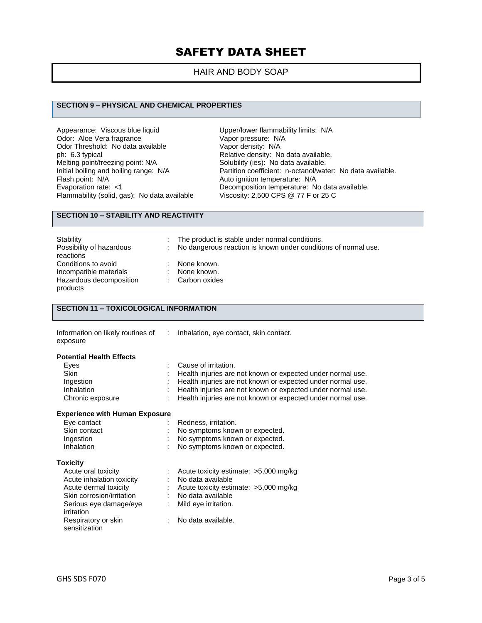# HAIR AND BODY SOAP

### **SECTION 9 – PHYSICAL AND CHEMICAL PROPERTIES**

Appearance: Viscous blue liquid<br>
Odor: Aloe Vera fragrance<br>
Vapor pressure: N/A Odor: Aloe Vera fragrance<br>
Odor Threshold: No data available<br>
Vapor density: N/A Odor Threshold: No data available<br>ph: 6.3 typical ph: 6.3 typical ph: 6.3 typical consider the Relative density: No data available.<br>
Melting point/freezing point: N/A Solubility (ies): No data available. Melting point/freezing point: N/A Solubility (ies): No data available.<br>
Initial boiling and boiling range: N/A Partition coefficient: n-octanol/wate Flash point: N/A<br>
Evaporation rate: <1 Channel Autor: Necomposition temperature: N<br>
Decomposition temperature: Necomposition temperature: Necomposition temperature: Necomposition temperature: N Flammability (solid, gas): No data available

Initial boiling and boiling range: N/A Partition coefficient: n-octanol/water: No data available.<br>Flash point: N/A Ruto ignition temperature: N/A Decomposition temperature: No data available.<br>Viscosity: 2,500 CPS @ 77 F or 25 C

### **SECTION 10 – STABILITY AND REACTIVITY**

| Stability                | The product is stable under normal conditions.                 |
|--------------------------|----------------------------------------------------------------|
| Possibility of hazardous | No dangerous reaction is known under conditions of normal use. |
| reactions                |                                                                |
| Conditions to avoid      | None known.                                                    |
| Incompatible materials   | None known.                                                    |
| Hazardous decomposition  | : Carbon oxides                                                |
| products                 |                                                                |
|                          |                                                                |

## **SECTION 11 – TOXICOLOGICAL INFORMATION**

| Information on likely routines of | : Inhalation, eye contact, skin contact. |
|-----------------------------------|------------------------------------------|
| exposure                          |                                          |

#### **Potential Health Effects**

| Eves             | : Cause of irritation.                                        |
|------------------|---------------------------------------------------------------|
| <b>Skin</b>      | : Health injuries are not known or expected under normal use. |
| Ingestion        | : Health injuries are not known or expected under normal use. |
| Inhalation       | : Health injuries are not known or expected under normal use. |
| Chronic exposure | : Health injuries are not known or expected under normal use. |

#### **Experience with Human Exposure**

| Eye contact  | : Redness. irritation.           |
|--------------|----------------------------------|
| Skin contact | : No symptoms known or expected. |
| Ingestion    | : No symptoms known or expected. |
| Inhalation   | : No symptoms known or expected. |
|              |                                  |

**Toxicity**

| Acute oral toxicity       | Acute toxicity estimate: >5,000 mg/kg |
|---------------------------|---------------------------------------|
| Acute inhalation toxicity | No data available                     |
| Acute dermal toxicity     | Acute toxicity estimate: >5,000 mg/kg |
| Skin corrosion/irritation | No data available                     |
| Serious eye damage/eye    | Mild eye irritation.                  |
| irritation                |                                       |
| Respiratory or skin       | No data available.                    |
| sensitization             |                                       |
|                           |                                       |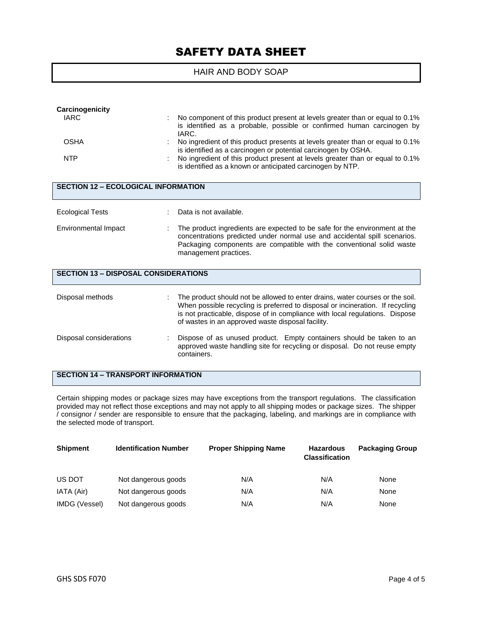# HAIR AND BODY SOAP

| Carcinogenicity<br><b>IARC</b>              | No component of this product present at levels greater than or equal to 0.1%<br>is identified as a probable, possible or confirmed human carcinogen by<br>IARC.                                                                                                                                      |  |  |  |  |  |
|---------------------------------------------|------------------------------------------------------------------------------------------------------------------------------------------------------------------------------------------------------------------------------------------------------------------------------------------------------|--|--|--|--|--|
| <b>OSHA</b>                                 | No ingredient of this product presents at levels greater than or equal to 0.1%<br>is identified as a carcinogen or potential carcinogen by OSHA.                                                                                                                                                     |  |  |  |  |  |
| <b>NTP</b>                                  | No ingredient of this product present at levels greater than or equal to 0.1%<br>is identified as a known or anticipated carcinogen by NTP.                                                                                                                                                          |  |  |  |  |  |
| <b>SECTION 12 - ECOLOGICAL INFORMATION</b>  |                                                                                                                                                                                                                                                                                                      |  |  |  |  |  |
| <b>Ecological Tests</b>                     | Data is not available.                                                                                                                                                                                                                                                                               |  |  |  |  |  |
| Environmental Impact                        | The product ingredients are expected to be safe for the environment at the<br>concentrations predicted under normal use and accidental spill scenarios.<br>Packaging components are compatible with the conventional solid waste<br>management practices.                                            |  |  |  |  |  |
| <b>SECTION 13 - DISPOSAL CONSIDERATIONS</b> |                                                                                                                                                                                                                                                                                                      |  |  |  |  |  |
| Disposal methods                            | The product should not be allowed to enter drains, water courses or the soil.<br>When possible recycling is preferred to disposal or incineration. If recycling<br>is not practicable, dispose of in compliance with local regulations. Dispose<br>of wastes in an approved waste disposal facility. |  |  |  |  |  |
| Disposal considerations                     | Dispose of as unused product. Empty containers should be taken to an<br>approved waste handling site for recycling or disposal. Do not reuse empty<br>containers.                                                                                                                                    |  |  |  |  |  |

# **SECTION 14 – TRANSPORT INFORMATION**

Certain shipping modes or package sizes may have exceptions from the transport regulations. The classification provided may not reflect those exceptions and may not apply to all shipping modes or package sizes. The shipper / consignor / sender are responsible to ensure that the packaging, labeling, and markings are in compliance with the selected mode of transport.

| <b>Shipment</b> | <b>Identification Number</b> | <b>Proper Shipping Name</b> | <b>Hazardous</b><br><b>Classification</b> | <b>Packaging Group</b> |
|-----------------|------------------------------|-----------------------------|-------------------------------------------|------------------------|
| US DOT          | Not dangerous goods          | N/A                         | N/A                                       | None                   |
| IATA (Air)      | Not dangerous goods          | N/A                         | N/A                                       | None                   |
| IMDG (Vessel)   | Not dangerous goods          | N/A                         | N/A                                       | None                   |